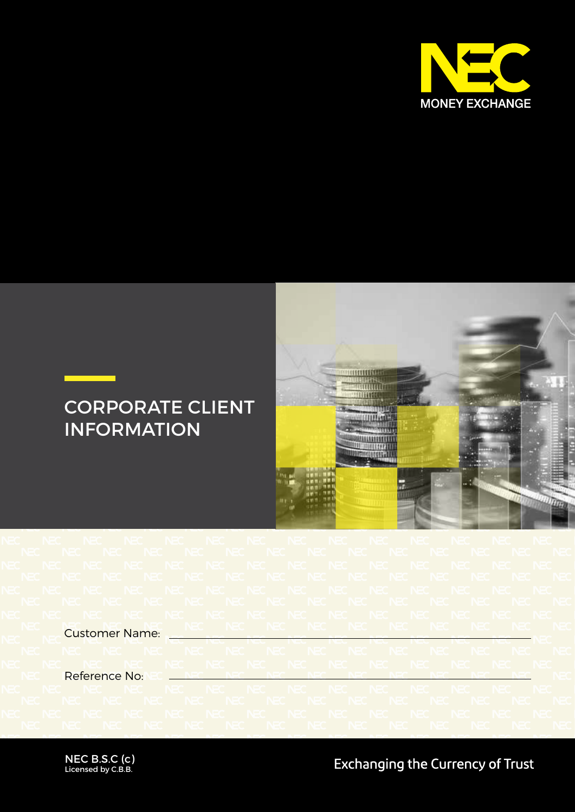

## CORPORATE CLIENT INFORMATION



Customer Name:

Reference No:

NEC B.S.C (c) Licensed by C.B.B.

**Exchanging the Currency of Trust**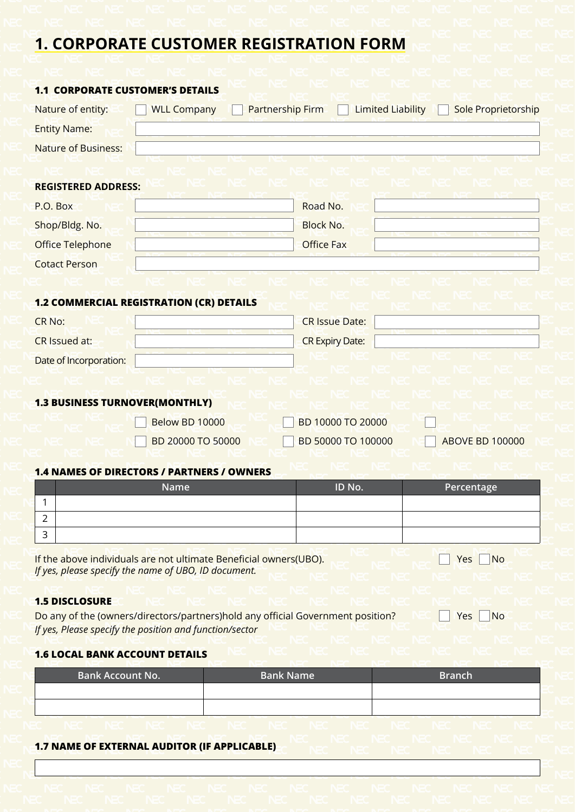## **1. CORPORATE CUSTOMER REGISTRATION FORM**

| <b>1.1 CORPORATE CUSTOMER'S DETAILS</b> |                                                                                                                           |                                                                                 |                        |
|-----------------------------------------|---------------------------------------------------------------------------------------------------------------------------|---------------------------------------------------------------------------------|------------------------|
| Nature of entity:                       | <b>WLL Company</b>                                                                                                        | <b>Limited Liability</b><br><b>Partnership Firm</b>                             | Sole Proprietorship    |
| <b>Entity Name:</b>                     |                                                                                                                           |                                                                                 |                        |
| <b>Nature of Business:</b>              |                                                                                                                           |                                                                                 |                        |
|                                         |                                                                                                                           |                                                                                 |                        |
| <b>REGISTERED ADDRESS:</b>              |                                                                                                                           |                                                                                 |                        |
| P.O. Box                                |                                                                                                                           | Road No.                                                                        |                        |
| Shop/Bldg. No.                          |                                                                                                                           | <b>Block No.</b>                                                                |                        |
| <b>Office Telephone</b>                 |                                                                                                                           | <b>Office Fax</b>                                                               |                        |
| <b>Cotact Person</b>                    |                                                                                                                           |                                                                                 |                        |
|                                         |                                                                                                                           |                                                                                 |                        |
|                                         | <b>1.2 COMMERCIAL REGISTRATION (CR) DETAILS</b>                                                                           |                                                                                 |                        |
| <b>CR No:</b>                           |                                                                                                                           | <b>CR Issue Date:</b>                                                           |                        |
| CR Issued at:                           |                                                                                                                           | <b>CR Expiry Date:</b>                                                          |                        |
| Date of Incorporation:                  |                                                                                                                           |                                                                                 |                        |
|                                         |                                                                                                                           |                                                                                 |                        |
| <b>1.3 BUSINESS TURNOVER(MONTHLY)</b>   |                                                                                                                           |                                                                                 |                        |
|                                         | Below BD 10000                                                                                                            | BD 10000 TO 20000                                                               |                        |
|                                         | BD 20000 TO 50000                                                                                                         | BD 50000 TO 100000                                                              | <b>ABOVE BD 100000</b> |
|                                         |                                                                                                                           |                                                                                 |                        |
|                                         | <b>1.4 NAMES OF DIRECTORS / PARTNERS / OWNERS</b>                                                                         |                                                                                 |                        |
| 1                                       | Name                                                                                                                      | ID No.                                                                          | Percentage             |
| 2                                       |                                                                                                                           |                                                                                 |                        |
| 3                                       |                                                                                                                           |                                                                                 |                        |
|                                         |                                                                                                                           |                                                                                 |                        |
|                                         | If the above individuals are not ultimate Beneficial owners(UBO).<br>If yes, please specify the name of UBO, ID document. |                                                                                 | Yes<br><b>No</b>       |
|                                         |                                                                                                                           |                                                                                 |                        |
| <b>1.5 DISCLOSURE</b>                   |                                                                                                                           |                                                                                 |                        |
|                                         | If yes, Please specify the position and function/sector                                                                   | Do any of the (owners/directors/partners)hold any official Government position? | Yes<br><b>No</b>       |
|                                         |                                                                                                                           |                                                                                 |                        |
| <b>1.6 LOCAL BANK ACCOUNT DETAILS</b>   |                                                                                                                           |                                                                                 |                        |

| <b>Bank Account No.</b> | <b>Bank Name</b> | <b>Branch</b> |  |
|-------------------------|------------------|---------------|--|
|                         |                  |               |  |
|                         |                  |               |  |
|                         |                  |               |  |

**1.7 NAME OF EXTERNAL AUDITOR (IF APPLICABLE)**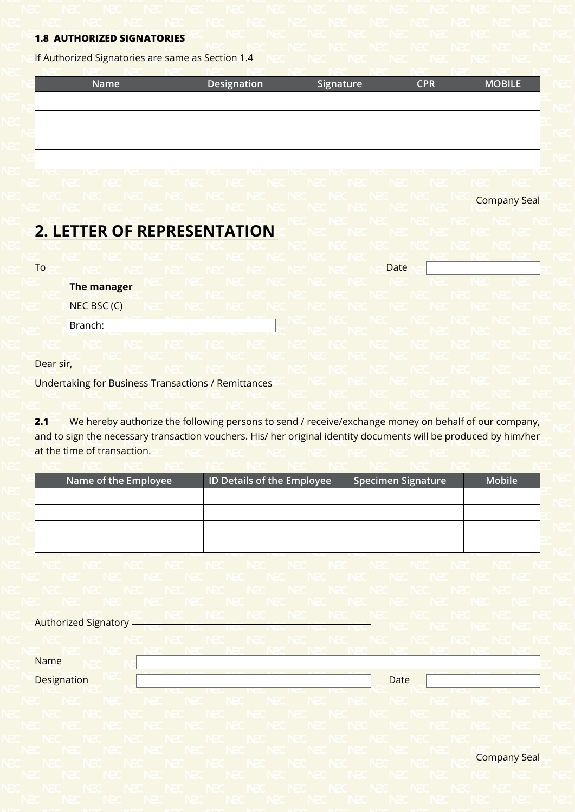## **1.8 AUTHORIZED SIGNATORIES**

If Authorized Signatories are same as Section 1.4

| Name | Designation | Signature | <b>CPR</b> | <b>MOBILE</b> |
|------|-------------|-----------|------------|---------------|
|      |             |           |            |               |
|      |             |           |            |               |
|      |             |           |            |               |
|      |             |           |            |               |
|      |             |           |            |               |

Company Seal

## **2. LETTER OF REPRESENTATION**

To a red in the media in the reduction of the needate

**The manager**

NEC BSC (C)

Branch:

Dear sir,

Undertaking for Business Transactions / Remittances

**2.1** We hereby authorize the following persons to send / receive/exchange money on behalf of our company, and to sign the necessary transaction vouchers. His/ her original identity documents will be produced by him/her at the time of transaction.

| Name of the Employee | <b>ID Details of the Employee</b> | <b>Specimen Signature</b> | <b>Mobile</b> |
|----------------------|-----------------------------------|---------------------------|---------------|
|                      |                                   |                           |               |
|                      |                                   |                           |               |
|                      |                                   |                           |               |
|                      |                                   |                           |               |

Authorized Signatory Name **Designation Date** Company Seal